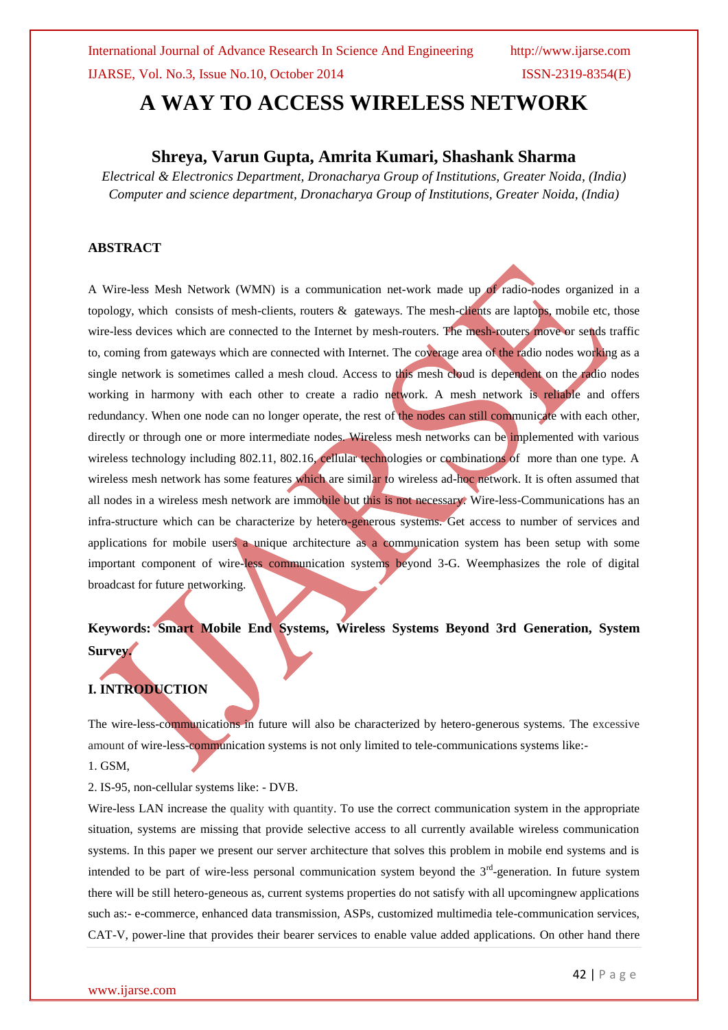# **A WAY TO ACCESS WIRELESS NETWORK**

### **Shreya, Varun Gupta, Amrita Kumari, Shashank Sharma**

*Electrical & Electronics Department, Dronacharya Group of Institutions, Greater Noida, (India) Computer and science department, Dronacharya Group of Institutions, Greater Noida, (India)*

### **ABSTRACT**

A Wire-less Mesh Network (WMN) is a communication net-work made up of radio-nodes organized in a topology, which consists of mesh-clients, routers & gateways. The mesh-clients are laptops, mobile etc, those wire-less devices which are connected to the Internet by mesh-routers. The mesh-routers move or sends traffic to, coming from gateways which are connected with Internet. The coverage area of the radio nodes working as a single network is sometimes called a mesh cloud. Access to this mesh cloud is dependent on the radio nodes working in harmony with each other to create a radio network. A mesh network is reliable and offers redundancy. When one node can no longer operate, the rest of the nodes can still communicate with each other, directly or through one or more intermediate nodes. Wireless mesh networks can be implemented with various wireless technology including 802.11, 802.16, cellular technologies or combinations of more than one type. A wireless mesh network has some features which are similar to wireless ad-hoc network. It is often assumed that all nodes in a wireless mesh network are immobile but this is not necessary. Wire-less-Communications has an infra-structure which can be characterize by hetero-generous systems. Get access to number of services and applications for mobile users a unique architecture as a communication system has been setup with some important component of wire-less communication systems beyond 3-G. Weemphasizes the role of digital broadcast for future networking.

## **Keywords: Smart Mobile End Systems, Wireless Systems Beyond 3rd Generation, System Survey.**

## **I. INTRODUCTION**

The wire-less-communications in future will also be characterized by hetero-generous systems. The excessive amount of wire-less-communication systems is not only limited to tele-communications systems like:- 1. GSM,

2. IS-95, non-cellular systems like: - DVB.

Wire-less LAN increase the quality with quantity. To use the correct communication system in the appropriate situation, systems are missing that provide selective access to all currently available wireless communication systems. In this paper we present our server architecture that solves this problem in mobile end systems and is intended to be part of wire-less personal communication system beyond the  $3<sup>rd</sup>$ -generation. In future system there will be still hetero-geneous as, current systems properties do not satisfy with all upcomingnew applications such as:- e-commerce, enhanced data transmission, ASPs, customized multimedia tele-communication services, CAT-V, power-line that provides their bearer services to enable value added applications. On other hand there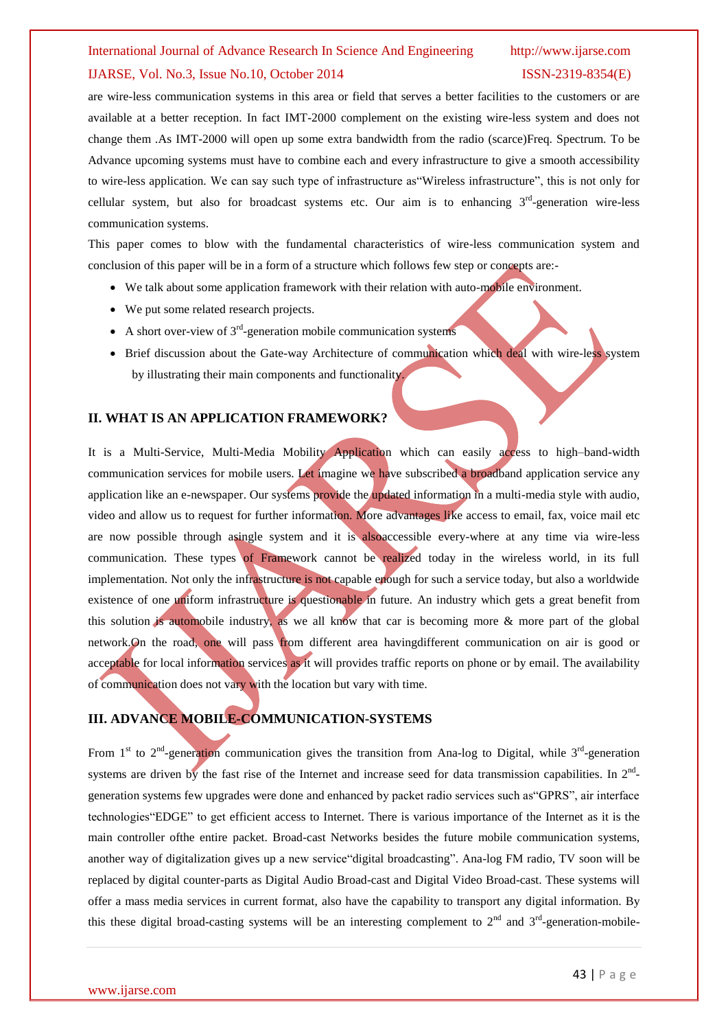are wire-less communication systems in this area or field that serves a better facilities to the customers or are available at a better reception. In fact IMT-2000 complement on the existing wire-less system and does not change them .As IMT-2000 will open up some extra bandwidth from the radio (scarce)Freq. Spectrum. To be Advance upcoming systems must have to combine each and every infrastructure to give a smooth accessibility to wire-less application. We can say such type of infrastructure as"Wireless infrastructure", this is not only for cellular system, but also for broadcast systems etc. Our aim is to enhancing  $3<sup>rd</sup>$ -generation wire-less communication systems.

This paper comes to blow with the fundamental characteristics of wire-less communication system and conclusion of this paper will be in a form of a structure which follows few step or concepts are:-

- We talk about some application framework with their relation with auto-mobile environment.
- We put some related research projects.
- $\bullet$  A short over-view of  $3<sup>rd</sup>$ -generation mobile communication systems
- Brief discussion about the Gate-way Architecture of communication which deal with wire-less system by illustrating their main components and functionality.

#### **II. WHAT IS AN APPLICATION FRAMEWORK?**

It is a Multi-Service, Multi-Media Mobility Application which can easily access to high-band-width communication services for mobile users. Let imagine we have subscribed a broadband application service any application like an e-newspaper. Our systems provide the updated information in a multi-media style with audio, video and allow us to request for further information. More advantages like access to email, fax, voice mail etc are now possible through asingle system and it is alsoaccessible every-where at any time via wire-less communication. These types of Framework cannot be realized today in the wireless world, in its full implementation. Not only the infrastructure is not capable enough for such a service today, but also a worldwide existence of one uniform infrastructure is questionable in future. An industry which gets a great benefit from this solution is automobile industry, as we all know that car is becoming more  $\&$  more part of the global network.On the road, one will pass from different area havingdifferent communication on air is good or acceptable for local information services as it will provides traffic reports on phone or by email. The availability of communication does not vary with the location but vary with time.

### **III. ADVANCE MOBILE-COMMUNICATION-SYSTEMS**

From  $1<sup>st</sup>$  to  $2<sup>nd</sup>$ -generation communication gives the transition from Ana-log to Digital, while  $3<sup>rd</sup>$ -generation systems are driven by the fast rise of the Internet and increase seed for data transmission capabilities. In  $2<sup>nd</sup>$ generation systems few upgrades were done and enhanced by packet radio services such as"GPRS", air interface technologies"EDGE" to get efficient access to Internet. There is various importance of the Internet as it is the main controller ofthe entire packet. Broad-cast Networks besides the future mobile communication systems, another way of digitalization gives up a new service"digital broadcasting". Ana-log FM radio, TV soon will be replaced by digital counter-parts as Digital Audio Broad-cast and Digital Video Broad-cast. These systems will offer a mass media services in current format, also have the capability to transport any digital information. By this these digital broad-casting systems will be an interesting complement to  $2<sup>nd</sup>$  and  $3<sup>rd</sup>$ -generation-mobile-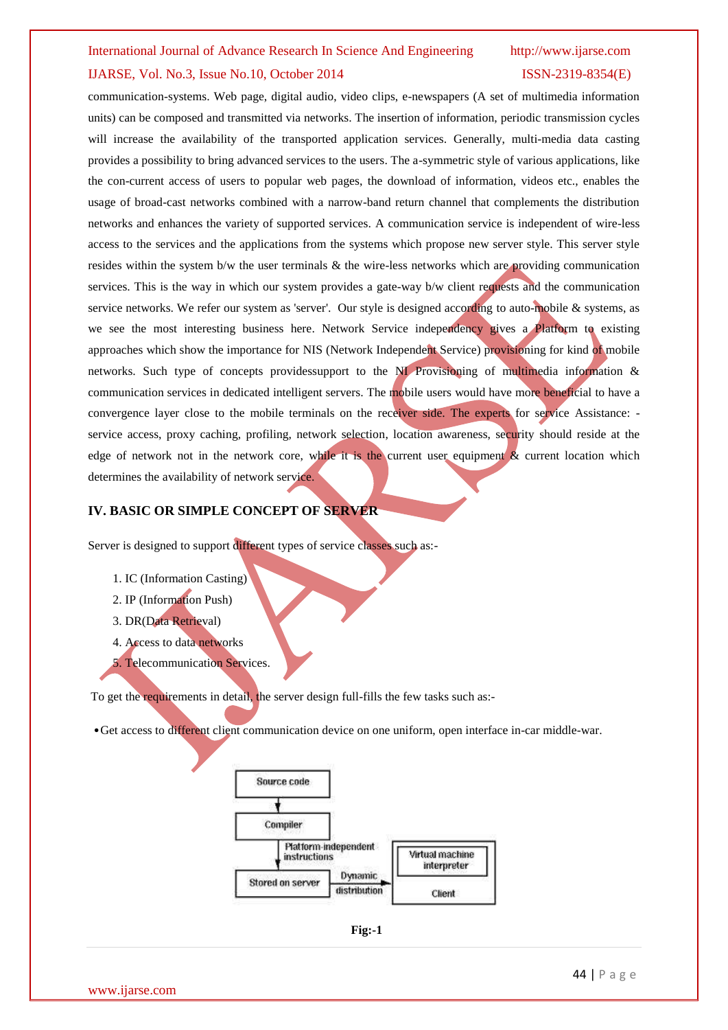communication-systems. Web page, digital audio, video clips, e-newspapers (A set of multimedia information units) can be composed and transmitted via networks. The insertion of information, periodic transmission cycles will increase the availability of the transported application services. Generally, multi-media data casting provides a possibility to bring advanced services to the users. The a-symmetric style of various applications, like the con-current access of users to popular web pages, the download of information, videos etc., enables the usage of broad-cast networks combined with a narrow-band return channel that complements the distribution networks and enhances the variety of supported services. A communication service is independent of wire-less access to the services and the applications from the systems which propose new server style. This server style resides within the system b/w the user terminals & the wire-less networks which are providing communication services. This is the way in which our system provides a gate-way b/w client requests and the communication service networks. We refer our system as 'server'. Our style is designed according to auto-mobile & systems, as we see the most interesting business here. Network Service independency gives a Platform to existing approaches which show the importance for NIS (Network Independent Service) provisioning for kind of mobile networks. Such type of concepts providessupport to the NI Provisioning of multimedia information & communication services in dedicated intelligent servers. The mobile users would have more beneficial to have a convergence layer close to the mobile terminals on the receiver side. The experts for service Assistance: service access, proxy caching, profiling, network selection, location awareness, security should reside at the edge of network not in the network core, while it is the current user equipment & current location which determines the availability of network service.

### **IV. BASIC OR SIMPLE CONCEPT OF SERVER**

Server is designed to support different types of service classes such as:-

- 1. IC (Information Casting)
- 2. IP (Information Push)
- 3. DR(Data Retrieval)
- 4. Access to data networks
- 5. Telecommunication Services.

To get the requirements in detail, the server design full-fills the few tasks such as:-

•Get access to different client communication device on one uniform, open interface in-car middle-war.

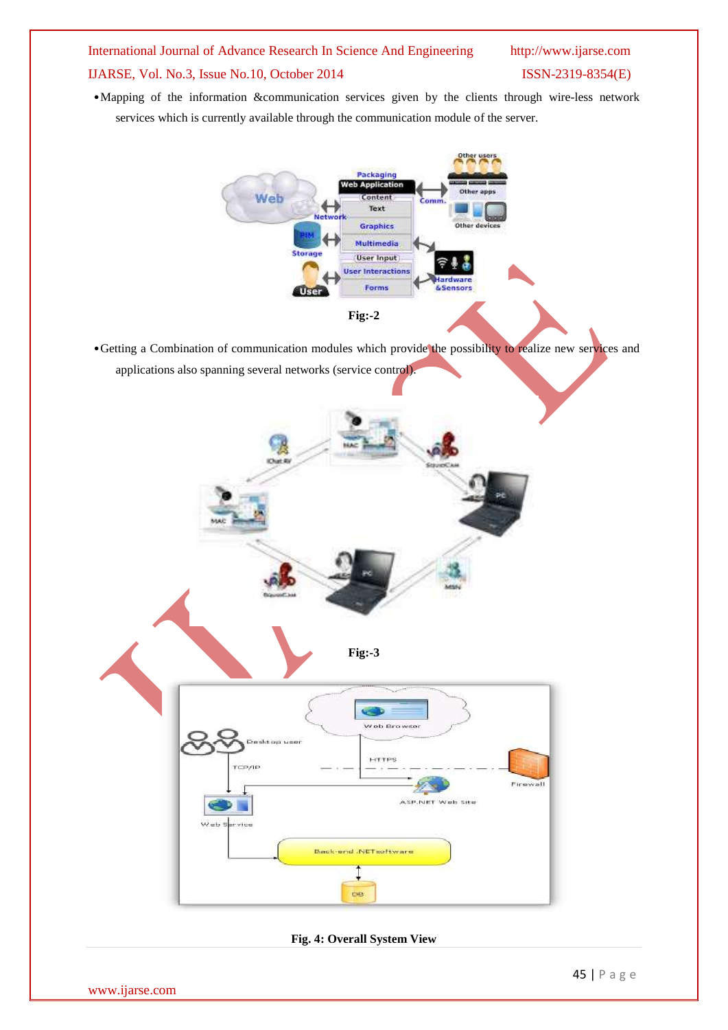•Mapping of the information &communication services given by the clients through wire-less network services which is currently available through the communication module of the server.

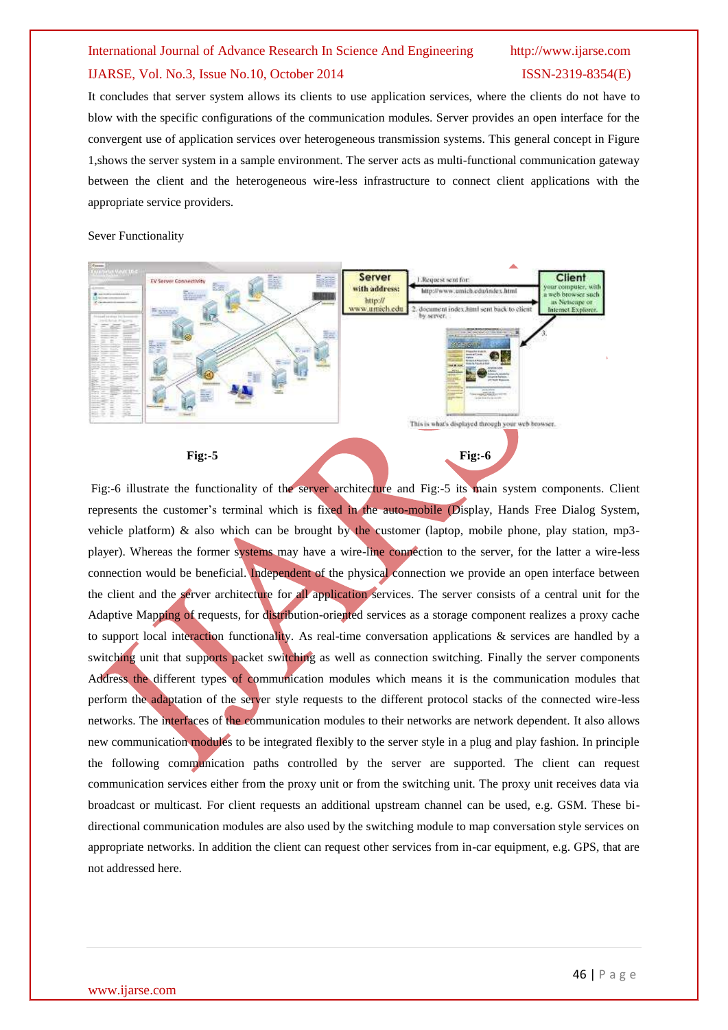It concludes that server system allows its clients to use application services, where the clients do not have to blow with the specific configurations of the communication modules. Server provides an open interface for the convergent use of application services over heterogeneous transmission systems. This general concept in Figure 1,shows the server system in a sample environment. The server acts as multi-functional communication gateway between the client and the heterogeneous wire-less infrastructure to connect client applications with the appropriate service providers.

Sever Functionality



Fig:-6 illustrate the functionality of the server architecture and Fig:-5 its main system components. Client represents the customer's terminal which is fixed in the auto-mobile (Display, Hands Free Dialog System, vehicle platform) & also which can be brought by the customer (laptop, mobile phone, play station, mp3 player). Whereas the former systems may have a wire-line connection to the server, for the latter a wire-less connection would be beneficial. Independent of the physical connection we provide an open interface between the client and the server architecture for all application services. The server consists of a central unit for the Adaptive Mapping of requests, for distribution-oriented services as a storage component realizes a proxy cache to support local interaction functionality. As real-time conversation applications & services are handled by a switching unit that supports packet switching as well as connection switching. Finally the server components Address the different types of communication modules which means it is the communication modules that perform the adaptation of the server style requests to the different protocol stacks of the connected wire-less networks. The interfaces of the communication modules to their networks are network dependent. It also allows new communication modules to be integrated flexibly to the server style in a plug and play fashion. In principle the following communication paths controlled by the server are supported. The client can request communication services either from the proxy unit or from the switching unit. The proxy unit receives data via broadcast or multicast. For client requests an additional upstream channel can be used, e.g. GSM. These bidirectional communication modules are also used by the switching module to map conversation style services on appropriate networks. In addition the client can request other services from in-car equipment, e.g. GPS, that are not addressed here.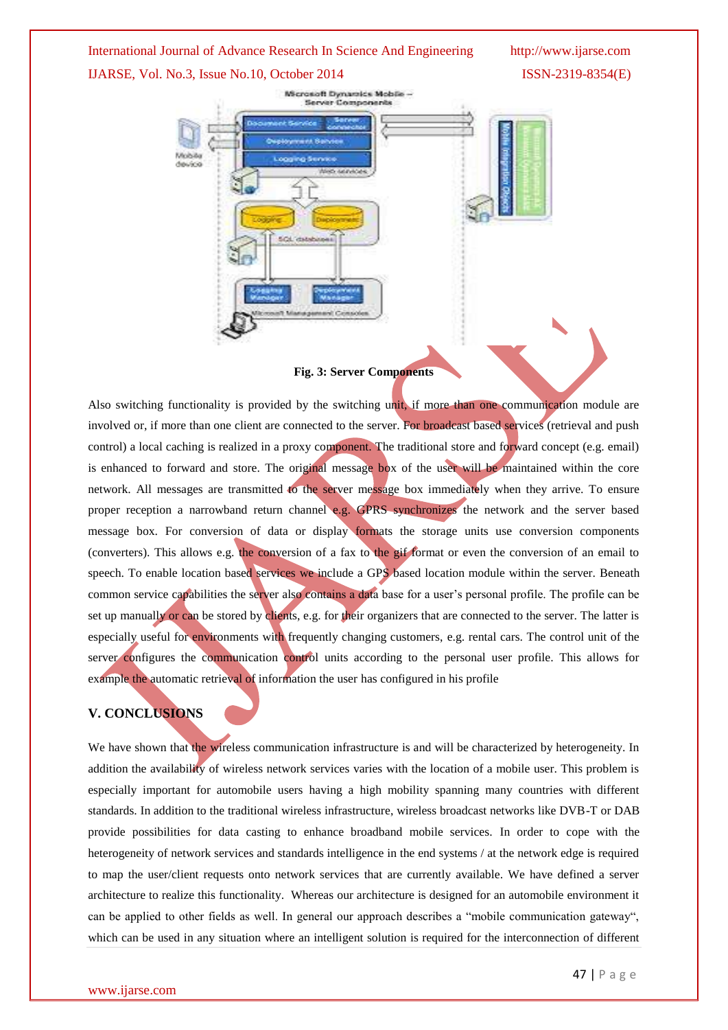

**Fig. 3: Server Components**

Also switching functionality is provided by the switching unit, if more than one communication module are involved or, if more than one client are connected to the server. For broadcast based services (retrieval and push control) a local caching is realized in a proxy component. The traditional store and forward concept (e.g. email) is enhanced to forward and store. The original message box of the user will be maintained within the core network. All messages are transmitted to the server message box immediately when they arrive. To ensure proper reception a narrowband return channel e.g. GPRS synchronizes the network and the server based message box. For conversion of data or display formats the storage units use conversion components (converters). This allows e.g. the conversion of a fax to the gif format or even the conversion of an email to speech. To enable location based services we include a GPS based location module within the server. Beneath common service capabilities the server also contains a data base for a user's personal profile. The profile can be set up manually or can be stored by clients, e.g. for their organizers that are connected to the server. The latter is especially useful for environments with frequently changing customers, e.g. rental cars. The control unit of the server configures the communication control units according to the personal user profile. This allows for example the automatic retrieval of information the user has configured in his profile

### **V. CONCLUSIONS**

We have shown that the wireless communication infrastructure is and will be characterized by heterogeneity. In addition the availability of wireless network services varies with the location of a mobile user. This problem is especially important for automobile users having a high mobility spanning many countries with different standards. In addition to the traditional wireless infrastructure, wireless broadcast networks like DVB-T or DAB provide possibilities for data casting to enhance broadband mobile services. In order to cope with the heterogeneity of network services and standards intelligence in the end systems / at the network edge is required to map the user/client requests onto network services that are currently available. We have defined a server architecture to realize this functionality. Whereas our architecture is designed for an automobile environment it can be applied to other fields as well. In general our approach describes a "mobile communication gateway", which can be used in any situation where an intelligent solution is required for the interconnection of different